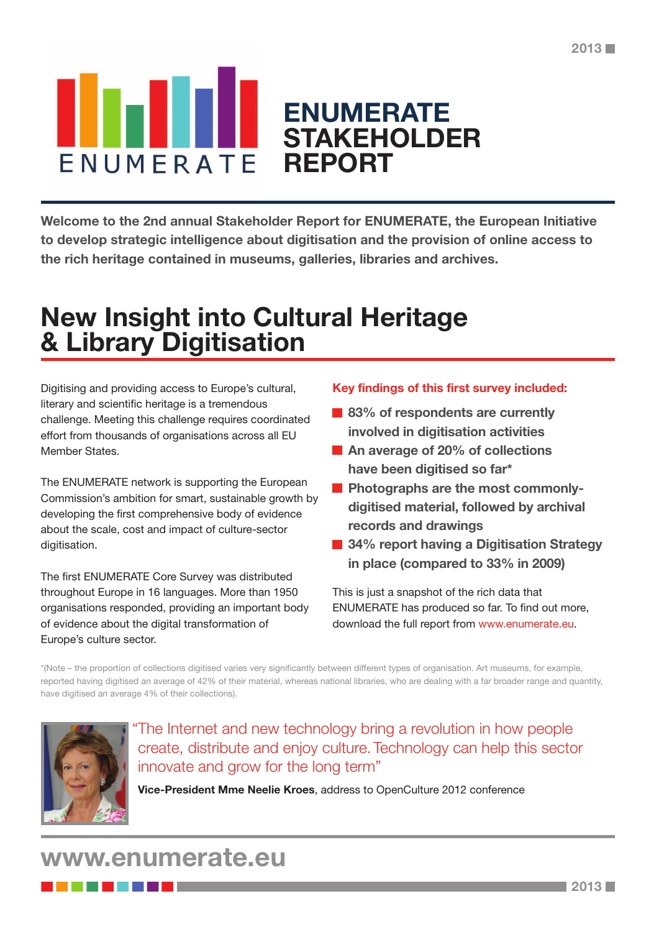### **ENUMERATE STAKEHOLDER** ENUMERATE **REPORT**

**Welcome to the 2nd annual Stakeholder Report for ENUMERATE, the European Initiative to develop strategic intelligence about digitisation and the provision of online access to the rich heritage contained in museums, galleries, libraries and archives.**

### **New Insight into Cultural Heritage & Library Digitisation**

Digitising and providing access to Europe's cultural, literary and scientific heritage is a tremendous challenge. Meeting this challenge requires coordinated effort from thousands of organisations across all EU Member States.

The ENUMERATE network is supporting the European Commission's ambition for smart, sustainable growth by developing the first comprehensive body of evidence about the scale, cost and impact of culture-sector digitisation.

The first ENUMERATE Core Survey was distributed throughout Europe in 16 languages. More than 1950 organisations responded, providing an important body of evidence about the digital transformation of Europe's culture sector.

#### **Key findings of this first survey included:**

- **83% of respondents are currently involved in digitisation activities**
- **An average of 20% of collections have been digitised so far\***
- **Photographs are the most commonlydigitised material, followed by archival records and drawings**
- **34% report having a Digitisation Strategy in place (compared to 33% in 2009)**

This is just a snapshot of the rich data that ENUMERATE has produced so far. To find out more, download the full report from www.enumerate.eu.

\*(Note – the proportion of collections digitised varies very significantly between different types of organisation. Art museums, for example, reported having digitised an average of 42% of their material, whereas national libraries, who are dealing with a far broader range and quantity, have digitised an average 4% of their collections).



"The Internet and new technology bring a revolution in how people create, distribute and enjoy culture.Technology can help this sector innovate and grow for the long term"

**Vice-President Mme Neelie Kroes**, address to OpenCulture 2012 conference

### **www.enumerate.eu**

--------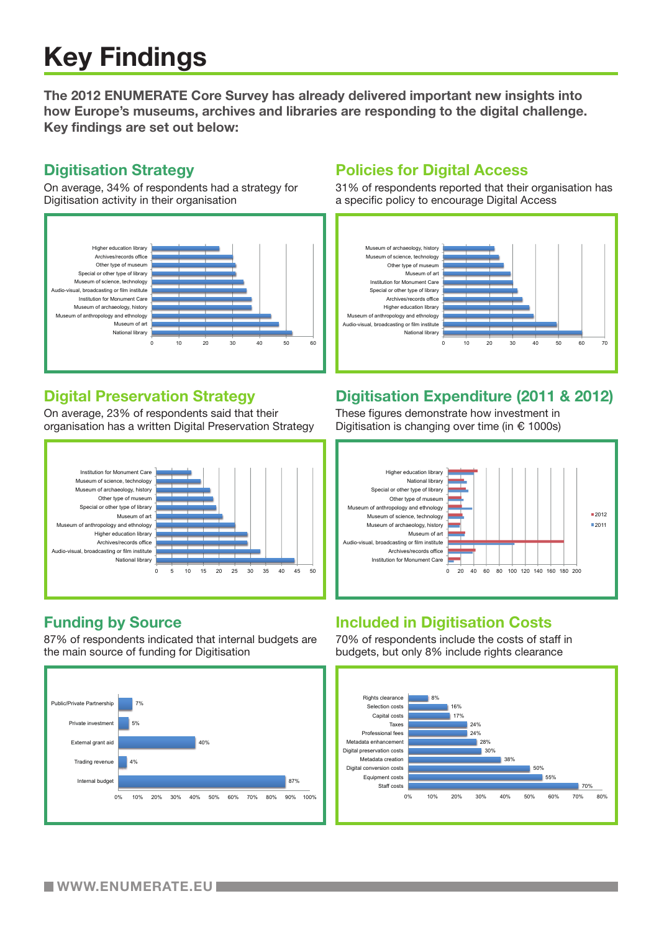# **Key Findings**

**The 2012 ENUMERATE Core Survey has already delivered important new insights into how Europe's museums, archives and libraries are responding to the digital challenge. Key findings are set out below:**

#### **Digitisation Strategy**

On average, 34% of respondents had a strategy for Digitisation activity in their organisation



### **Digital Preservation Strategy**

On average, 23% of respondents said that their organisation has a written Digital Preservation Strategy



### **Funding by Source**

87% of respondents indicated that internal budgets are the main source of funding for Digitisation



### **Policies for Digital Access**

31% of respondents reported that their organisation has a specific policy to encourage Digital Access



### **Digitisation Expenditure (2011 & 2012)**

These figures demonstrate how investment in Digitisation is changing over time (in € 1000s)



### **Included in Digitisation Costs**

70% of respondents include the costs of staff in budgets, but only 8% include rights clearance

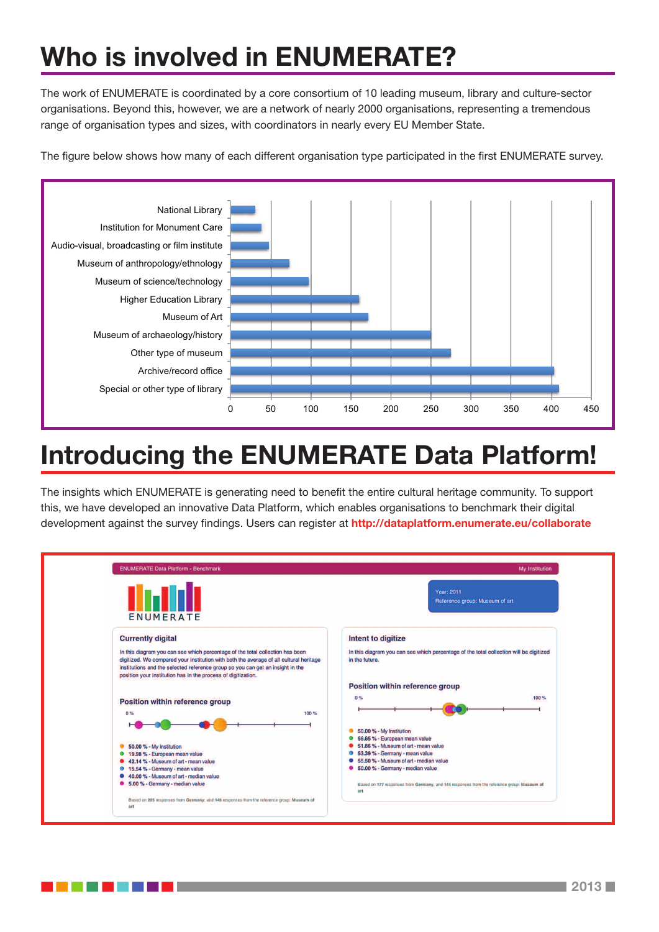# **Who is involved in ENUMERATE?**

The work of ENUMERATE is coordinated by a core consortium of 10 leading museum, library and culture-sector organisations. Beyond this, however, we are a network of nearly 2000 organisations, representing a tremendous range of organisation types and sizes, with coordinators in nearly every EU Member State.

The figure below shows how many of each different organisation type participated in the first ENUMERATE survey.



## **Introducing the ENUMERATE Data Platform!**

The insights which ENUMERATE is generating need to benefit the entire cultural heritage community. To support this, we have developed an innovative Data Platform, which enables organisations to benchmark their digital development against the survey findings. Users can register at **http://dataplatform.enumerate.eu/collaborate**

| <b>ENUMERATE Data Platform - Benchmark</b>                                                                                                                                                                                                                                                                                 | <b>My Institution</b>                                                                                    |
|----------------------------------------------------------------------------------------------------------------------------------------------------------------------------------------------------------------------------------------------------------------------------------------------------------------------------|----------------------------------------------------------------------------------------------------------|
| ENUMERATE                                                                                                                                                                                                                                                                                                                  | Year: 2011<br>Reference group: Museum of art                                                             |
| <b>Currently digital</b>                                                                                                                                                                                                                                                                                                   | Intent to digitize                                                                                       |
| In this diagram you can see which percentage of the total collection has been<br>digitized. We compared your institution with both the average of all cultural heritage<br>institutions and the selected reference group so you can get an insight in the<br>position your institution has in the process of digitization. | In this diagram you can see which percentage of the total collection will be digitized<br>in the future. |
|                                                                                                                                                                                                                                                                                                                            | Position within reference group                                                                          |
| <b>Position within reference group</b><br>100%<br>0%                                                                                                                                                                                                                                                                       | 0%<br>100 %                                                                                              |
|                                                                                                                                                                                                                                                                                                                            | 50.00 % - My Institution                                                                                 |
|                                                                                                                                                                                                                                                                                                                            | 56.65 % - European mean value<br>51.86 % - Museum of art - mean value                                    |
| 50.00 % - My Institution<br>19.98 % - European mean value                                                                                                                                                                                                                                                                  | 53.39 % - Germany - mean value                                                                           |
| 42.14 % - Museum of art - mean value                                                                                                                                                                                                                                                                                       | 55.50 % - Museum of art - median value                                                                   |
| 15.54 % - Germany - mean value                                                                                                                                                                                                                                                                                             | 6 50.00 % - Germany - median value                                                                       |
| 40.00 % - Museum of art - median value                                                                                                                                                                                                                                                                                     |                                                                                                          |
| 6 5.00 % - Germany - median value                                                                                                                                                                                                                                                                                          | Based on 177 responses from Germany, and 144 responses from the reference group: Museum of<br>art        |
| Based on 205 responses from Germany, and 146 responses from the reference group: Museum of                                                                                                                                                                                                                                 |                                                                                                          |

. . . .